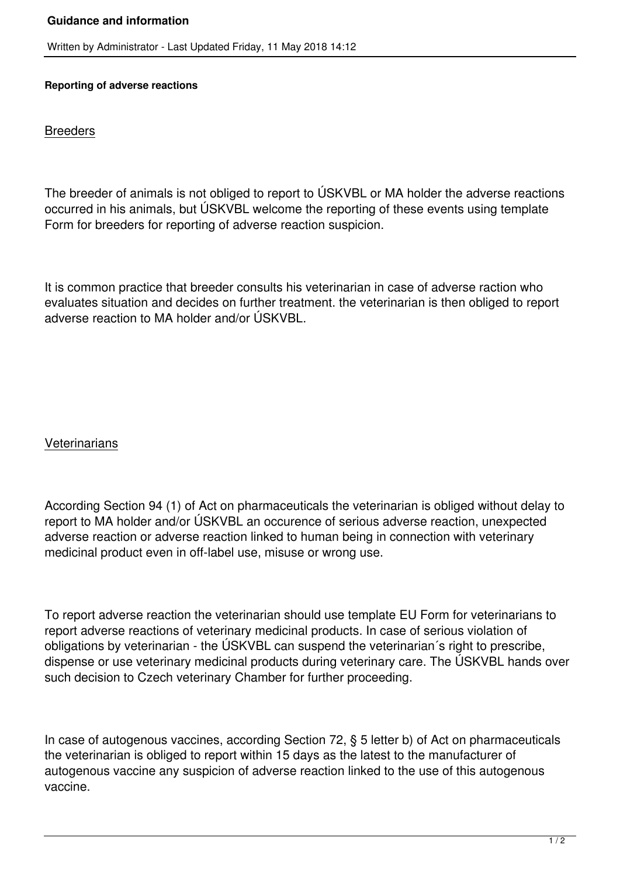## **Guidance and information**

Written by Administrator - Last Updated Friday, 11 May 2018 14:12

## **Reporting of adverse reactions**

**Breeders** 

The breeder of animals is not obliged to report to ÚSKVBL or MA holder the adverse reactions occurred in his animals, but ÚSKVBL welcome the reporting of these events using template Form for breeders for reporting of adverse reaction suspicion.

It is common practice that breeder consults his veterinarian in case of adverse raction who evaluates situation and decides on further treatment. the veterinarian is then obliged to report adverse reaction to MA holder and/or ÚSKVBL.

## **Veterinarians**

According Section 94 (1) of Act on pharmaceuticals the veterinarian is obliged without delay to report to MA holder and/or ÚSKVBL an occurence of serious adverse reaction, unexpected adverse reaction or adverse reaction linked to human being in connection with veterinary medicinal product even in off-label use, misuse or wrong use.

To report adverse reaction the veterinarian should use template EU Form for veterinarians to report adverse reactions of veterinary medicinal products. In case of serious violation of obligations by veterinarian - the ÚSKVBL can suspend the veterinarian´s right to prescribe, dispense or use veterinary medicinal products during veterinary care. The ÚSKVBL hands over such decision to Czech veterinary Chamber for further proceeding.

In case of autogenous vaccines, according Section 72, § 5 letter b) of Act on pharmaceuticals the veterinarian is obliged to report within 15 days as the latest to the manufacturer of autogenous vaccine any suspicion of adverse reaction linked to the use of this autogenous vaccine.